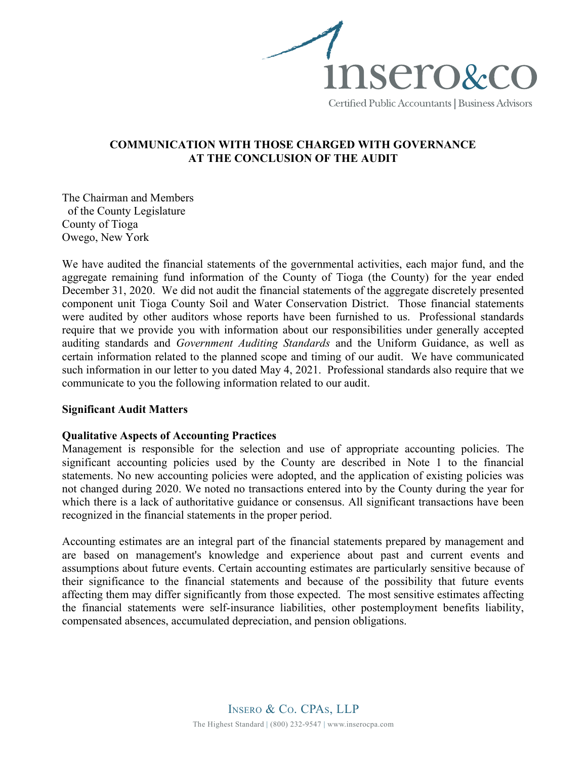

# COMMUNICATION WITH THOSE CHARGED WITH GOVERNANCE AT THE CONCLUSION OF THE AUDIT

The Chairman and Members of the County Legislature County of Tioga Owego, New York

We have audited the financial statements of the governmental activities, each major fund, and the aggregate remaining fund information of the County of Tioga (the County) for the year ended December 31, 2020. We did not audit the financial statements of the aggregate discretely presented component unit Tioga County Soil and Water Conservation District. Those financial statements were audited by other auditors whose reports have been furnished to us. Professional standards require that we provide you with information about our responsibilities under generally accepted auditing standards and Government Auditing Standards and the Uniform Guidance, as well as certain information related to the planned scope and timing of our audit. We have communicated such information in our letter to you dated May 4, 2021. Professional standards also require that we communicate to you the following information related to our audit.

## Significant Audit Matters

## Qualitative Aspects of Accounting Practices

Management is responsible for the selection and use of appropriate accounting policies. The significant accounting policies used by the County are described in Note 1 to the financial statements. No new accounting policies were adopted, and the application of existing policies was not changed during 2020. We noted no transactions entered into by the County during the year for which there is a lack of authoritative guidance or consensus. All significant transactions have been recognized in the financial statements in the proper period.

Accounting estimates are an integral part of the financial statements prepared by management and are based on management's knowledge and experience about past and current events and assumptions about future events. Certain accounting estimates are particularly sensitive because of their significance to the financial statements and because of the possibility that future events affecting them may differ significantly from those expected. The most sensitive estimates affecting the financial statements were self-insurance liabilities, other postemployment benefits liability, compensated absences, accumulated depreciation, and pension obligations.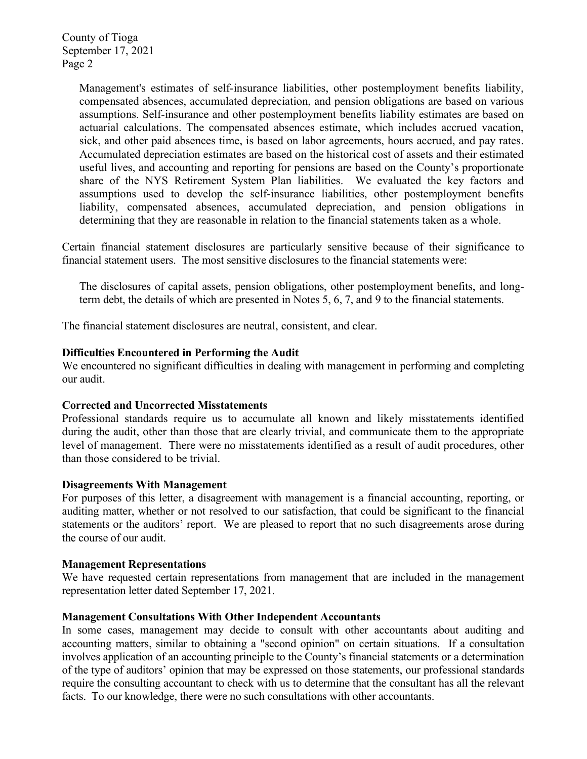Management's estimates of self-insurance liabilities, other postemployment benefits liability, compensated absences, accumulated depreciation, and pension obligations are based on various assumptions. Self-insurance and other postemployment benefits liability estimates are based on actuarial calculations. The compensated absences estimate, which includes accrued vacation, sick, and other paid absences time, is based on labor agreements, hours accrued, and pay rates. Accumulated depreciation estimates are based on the historical cost of assets and their estimated useful lives, and accounting and reporting for pensions are based on the County's proportionate share of the NYS Retirement System Plan liabilities. We evaluated the key factors and assumptions used to develop the self-insurance liabilities, other postemployment benefits liability, compensated absences, accumulated depreciation, and pension obligations in determining that they are reasonable in relation to the financial statements taken as a whole.

Certain financial statement disclosures are particularly sensitive because of their significance to financial statement users. The most sensitive disclosures to the financial statements were:

The disclosures of capital assets, pension obligations, other postemployment benefits, and longterm debt, the details of which are presented in Notes 5, 6, 7, and 9 to the financial statements.

The financial statement disclosures are neutral, consistent, and clear.

### Difficulties Encountered in Performing the Audit

We encountered no significant difficulties in dealing with management in performing and completing our audit.

#### Corrected and Uncorrected Misstatements

Professional standards require us to accumulate all known and likely misstatements identified during the audit, other than those that are clearly trivial, and communicate them to the appropriate level of management. There were no misstatements identified as a result of audit procedures, other than those considered to be trivial.

#### Disagreements With Management

For purposes of this letter, a disagreement with management is a financial accounting, reporting, or auditing matter, whether or not resolved to our satisfaction, that could be significant to the financial statements or the auditors' report. We are pleased to report that no such disagreements arose during the course of our audit.

#### Management Representations

We have requested certain representations from management that are included in the management representation letter dated September 17, 2021.

#### Management Consultations With Other Independent Accountants

In some cases, management may decide to consult with other accountants about auditing and accounting matters, similar to obtaining a "second opinion" on certain situations. If a consultation involves application of an accounting principle to the County's financial statements or a determination of the type of auditors' opinion that may be expressed on those statements, our professional standards require the consulting accountant to check with us to determine that the consultant has all the relevant facts. To our knowledge, there were no such consultations with other accountants.